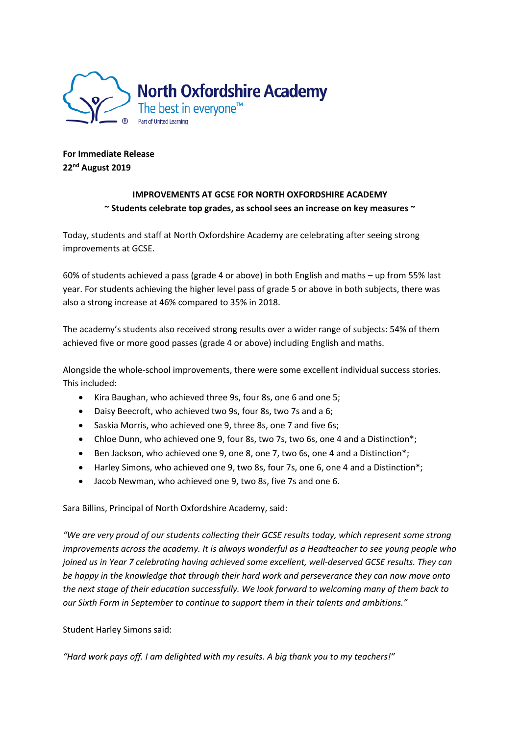

**For Immediate Release 22nd August 2019**

## **IMPROVEMENTS AT GCSE FOR NORTH OXFORDSHIRE ACADEMY ~ Students celebrate top grades, as school sees an increase on key measures ~**

Today, students and staff at North Oxfordshire Academy are celebrating after seeing strong improvements at GCSE.

60% of students achieved a pass (grade 4 or above) in both English and maths – up from 55% last year. For students achieving the higher level pass of grade 5 or above in both subjects, there was also a strong increase at 46% compared to 35% in 2018.

The academy's students also received strong results over a wider range of subjects: 54% of them achieved five or more good passes (grade 4 or above) including English and maths.

Alongside the whole-school improvements, there were some excellent individual success stories. This included:

- Kira Baughan, who achieved three 9s, four 8s, one 6 and one 5;
- Daisy Beecroft, who achieved two 9s, four 8s, two 7s and a 6;
- Saskia Morris, who achieved one 9, three 8s, one 7 and five 6s;
- Chloe Dunn, who achieved one 9, four 8s, two 7s, two 6s, one 4 and a Distinction\*;
- Ben Jackson, who achieved one 9, one 8, one 7, two 6s, one 4 and a Distinction\*;
- Harley Simons, who achieved one 9, two 8s, four 7s, one 6, one 4 and a Distinction\*;
- Jacob Newman, who achieved one 9, two 8s, five 7s and one 6.

Sara Billins, Principal of North Oxfordshire Academy, said:

*"We are very proud of our students collecting their GCSE results today, which represent some strong improvements across the academy. It is always wonderful as a Headteacher to see young people who joined us in Year 7 celebrating having achieved some excellent, well-deserved GCSE results. They can be happy in the knowledge that through their hard work and perseverance they can now move onto the next stage of their education successfully. We look forward to welcoming many of them back to our Sixth Form in September to continue to support them in their talents and ambitions."* 

Student Harley Simons said:

*"Hard work pays off. I am delighted with my results. A big thank you to my teachers!"*